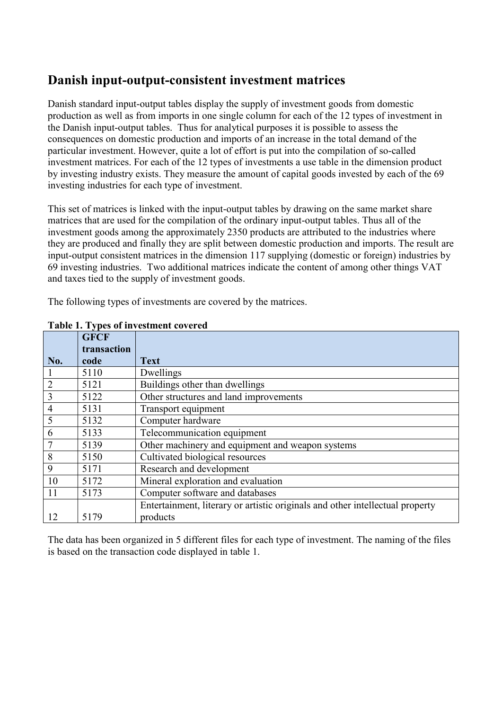## **Danish input-output-consistent investment matrices**

Danish standard input-output tables display the supply of investment goods from domestic production as well as from imports in one single column for each of the 12 types of investment in the Danish input-output tables. Thus for analytical purposes it is possible to assess the consequences on domestic production and imports of an increase in the total demand of the particular investment. However, quite a lot of effort is put into the compilation of so-called investment matrices. For each of the 12 types of investments a use table in the dimension product by investing industry exists. They measure the amount of capital goods invested by each of the 69 investing industries for each type of investment.

This set of matrices is linked with the input-output tables by drawing on the same market share matrices that are used for the compilation of the ordinary input-output tables. Thus all of the investment goods among the approximately 2350 products are attributed to the industries where they are produced and finally they are split between domestic production and imports. The result are input-output consistent matrices in the dimension 117 supplying (domestic or foreign) industries by 69 investing industries. Two additional matrices indicate the content of among other things VAT and taxes tied to the supply of investment goods.

The following types of investments are covered by the matrices.

|                | <b>GFCF</b> |                                                                               |
|----------------|-------------|-------------------------------------------------------------------------------|
|                | transaction |                                                                               |
| No.            | code        | <b>Text</b>                                                                   |
|                | 5110        | Dwellings                                                                     |
| $\overline{2}$ | 5121        | Buildings other than dwellings                                                |
| $\overline{3}$ | 5122        | Other structures and land improvements                                        |
| $\overline{4}$ | 5131        | Transport equipment                                                           |
| 5              | 5132        | Computer hardware                                                             |
| 6              | 5133        | Telecommunication equipment                                                   |
| $\overline{7}$ | 5139        | Other machinery and equipment and weapon systems                              |
| 8              | 5150        | Cultivated biological resources                                               |
| 9              | 5171        | Research and development                                                      |
| 10             | 5172        | Mineral exploration and evaluation                                            |
| 11             | 5173        | Computer software and databases                                               |
|                |             | Entertainment, literary or artistic originals and other intellectual property |
| 12             | 5179        | products                                                                      |

#### **Table 1. Types of investment covered**

The data has been organized in 5 different files for each type of investment. The naming of the files is based on the transaction code displayed in table 1.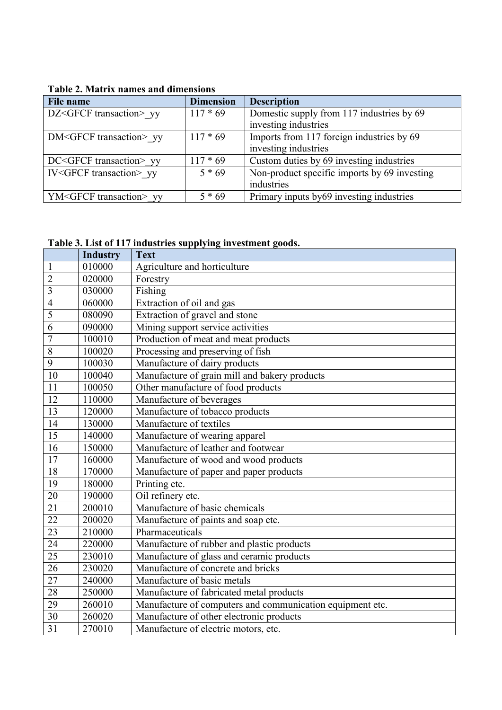| <b>File name</b>                   | <b>Dimension</b> | <b>Description</b>                           |
|------------------------------------|------------------|----------------------------------------------|
| DZ <gfcf transaction=""> yy</gfcf> | $117 * 69$       | Domestic supply from 117 industries by 69    |
|                                    |                  | investing industries                         |
| DM <gfcf transaction=""> yy</gfcf> | $117 * 69$       | Imports from 117 foreign industries by 69    |
|                                    |                  | investing industries                         |
| DC <gfcf transaction=""> yy</gfcf> | $117 * 69$       | Custom duties by 69 investing industries     |
| IV <gfcf transaction=""> yy</gfcf> | $5 * 69$         | Non-product specific imports by 69 investing |
|                                    |                  | industries                                   |
| YM <gfcf transaction=""> yy</gfcf> | $5 * 69$         | Primary inputs by 69 investing industries    |

### **Table 2. Matrix names and dimensions**

# **Table 3. List of 117 industries supplying investment goods.**

|                         | Table 3. List of 117 industries supplying investment goods. |                                                           |  |
|-------------------------|-------------------------------------------------------------|-----------------------------------------------------------|--|
|                         | <b>Industry</b>                                             | <b>Text</b>                                               |  |
| 1                       | 010000                                                      | Agriculture and horticulture                              |  |
| $\overline{2}$          | 020000                                                      | Forestry                                                  |  |
| $\overline{\mathbf{3}}$ | 030000                                                      | Fishing                                                   |  |
| $\overline{4}$          | 060000                                                      | Extraction of oil and gas                                 |  |
| $\overline{5}$          | 080090                                                      | Extraction of gravel and stone                            |  |
| 6                       | 090000                                                      | Mining support service activities                         |  |
| $\overline{7}$          | 100010                                                      | Production of meat and meat products                      |  |
| 8                       | 100020                                                      | Processing and preserving of fish                         |  |
| $\overline{9}$          | 100030                                                      | Manufacture of dairy products                             |  |
| 10                      | 100040                                                      | Manufacture of grain mill and bakery products             |  |
| 11                      | 100050                                                      | Other manufacture of food products                        |  |
| $\overline{12}$         | 110000                                                      | Manufacture of beverages                                  |  |
| 13                      | 120000                                                      | Manufacture of tobacco products                           |  |
| 14                      | 130000                                                      | Manufacture of textiles                                   |  |
| 15                      | 140000                                                      | Manufacture of wearing apparel                            |  |
| $\overline{16}$         | 150000                                                      | Manufacture of leather and footwear                       |  |
| 17                      | 160000                                                      | Manufacture of wood and wood products                     |  |
| 18                      | 170000                                                      | Manufacture of paper and paper products                   |  |
| 19                      | 180000                                                      | Printing etc.                                             |  |
| 20                      | 190000                                                      | Oil refinery etc.                                         |  |
| $\overline{21}$         | 200010                                                      | Manufacture of basic chemicals                            |  |
| 22                      | 200020                                                      | Manufacture of paints and soap etc.                       |  |
| $\overline{23}$         | 210000                                                      | Pharmaceuticals                                           |  |
| $\overline{24}$         | 220000                                                      | Manufacture of rubber and plastic products                |  |
| $\overline{25}$         | 230010                                                      | Manufacture of glass and ceramic products                 |  |
| 26                      | 230020                                                      | Manufacture of concrete and bricks                        |  |
| $\overline{27}$         | 240000                                                      | Manufacture of basic metals                               |  |
| 28                      | 250000                                                      | Manufacture of fabricated metal products                  |  |
| 29                      | 260010                                                      | Manufacture of computers and communication equipment etc. |  |
| $\overline{30}$         | 260020                                                      | Manufacture of other electronic products                  |  |
| $\overline{31}$         | 270010                                                      | Manufacture of electric motors, etc.                      |  |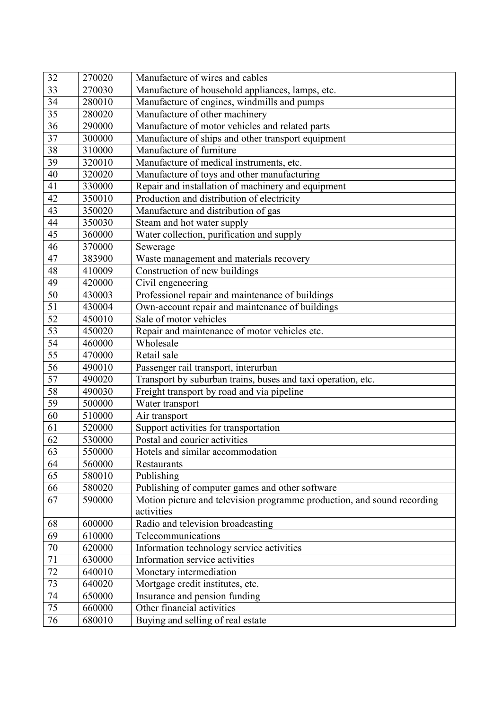| 32              | 270020 | Manufacture of wires and cables                                         |
|-----------------|--------|-------------------------------------------------------------------------|
| 33              | 270030 | Manufacture of household appliances, lamps, etc.                        |
| $\overline{34}$ | 280010 | Manufacture of engines, windmills and pumps                             |
| $\overline{35}$ | 280020 | Manufacture of other machinery                                          |
| 36              | 290000 | Manufacture of motor vehicles and related parts                         |
| 37              | 300000 | Manufacture of ships and other transport equipment                      |
| 38              | 310000 | Manufacture of furniture                                                |
| 39              | 320010 | Manufacture of medical instruments, etc.                                |
| 40              | 320020 | Manufacture of toys and other manufacturing                             |
| 41              | 330000 | Repair and installation of machinery and equipment                      |
| 42              | 350010 | Production and distribution of electricity                              |
| 43              | 350020 | Manufacture and distribution of gas                                     |
| 44              | 350030 | Steam and hot water supply                                              |
| 45              | 360000 | Water collection, purification and supply                               |
| 46              | 370000 | Sewerage                                                                |
| 47              | 383900 | Waste management and materials recovery                                 |
| 48              | 410009 | Construction of new buildings                                           |
| 49              | 420000 | Civil engeneering                                                       |
| 50              | 430003 | Professionel repair and maintenance of buildings                        |
| 51              | 430004 | Own-account repair and maintenance of buildings                         |
| 52              | 450010 | Sale of motor vehicles                                                  |
| 53              | 450020 | Repair and maintenance of motor vehicles etc.                           |
| $\overline{54}$ | 460000 | Wholesale                                                               |
| 55              | 470000 | Retail sale                                                             |
| 56              | 490010 | Passenger rail transport, interurban                                    |
| 57              | 490020 | Transport by suburban trains, buses and taxi operation, etc.            |
| 58              | 490030 | Freight transport by road and via pipeline                              |
| 59              | 500000 | Water transport                                                         |
| 60              | 510000 | Air transport                                                           |
| 61              | 520000 | Support activities for transportation                                   |
| 62              | 530000 | Postal and courier activities                                           |
| 63              | 550000 | Hotels and similar accommodation                                        |
| 64              | 560000 | Restaurants                                                             |
| 65              | 580010 | Publishing                                                              |
| 66              | 580020 | Publishing of computer games and other software                         |
| 67              | 590000 | Motion picture and television programme production, and sound recording |
|                 |        | activities                                                              |
| 68              | 600000 | Radio and television broadcasting                                       |
| 69              | 610000 | Telecommunications                                                      |
| 70              | 620000 | Information technology service activities                               |
| $\overline{71}$ | 630000 | <b>Information service activities</b>                                   |
| $72\,$          | 640010 | Monetary intermediation                                                 |
| $\overline{73}$ | 640020 | Mortgage credit institutes, etc.                                        |
| 74              | 650000 | Insurance and pension funding                                           |
| $\overline{75}$ | 660000 | Other financial activities                                              |
| 76              | 680010 | Buying and selling of real estate                                       |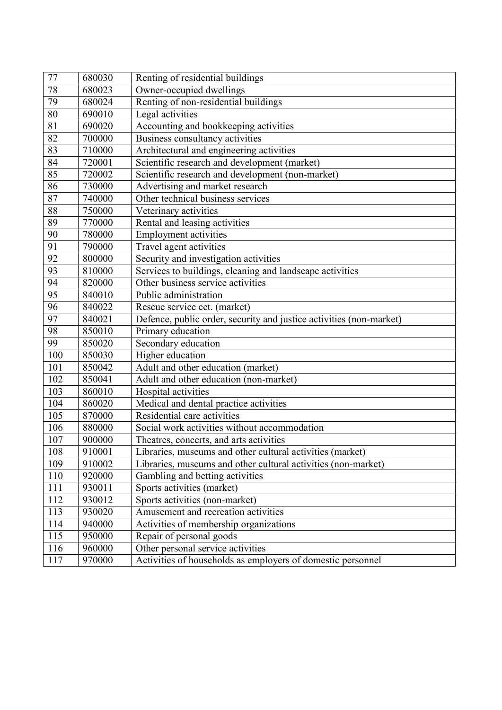| 77              | 680030 | Renting of residential buildings                                    |
|-----------------|--------|---------------------------------------------------------------------|
| 78              | 680023 | Owner-occupied dwellings                                            |
| 79              | 680024 | Renting of non-residential buildings                                |
| 80              | 690010 | Legal activities                                                    |
| 81              | 690020 | Accounting and bookkeeping activities                               |
| 82              | 700000 | Business consultancy activities                                     |
| 83              | 710000 | Architectural and engineering activities                            |
| 84              | 720001 | Scientific research and development (market)                        |
| 85              | 720002 | Scientific research and development (non-market)                    |
| 86              | 730000 | Advertising and market research                                     |
| 87              | 740000 | Other technical business services                                   |
| 88              | 750000 | Veterinary activities                                               |
| 89              | 770000 | Rental and leasing activities                                       |
| 90              | 780000 | <b>Employment activities</b>                                        |
| 91              | 790000 | Travel agent activities                                             |
| 92              | 800000 | Security and investigation activities                               |
| 93              | 810000 | Services to buildings, cleaning and landscape activities            |
| 94              | 820000 | Other business service activities                                   |
| 95              | 840010 | Public administration                                               |
| 96              | 840022 | Rescue service ect. (market)                                        |
| $\overline{97}$ | 840021 | Defence, public order, security and justice activities (non-market) |
| 98              | 850010 | Primary education                                                   |
| 99              | 850020 | Secondary education                                                 |
| 100             | 850030 | Higher education                                                    |
| 101             | 850042 | Adult and other education (market)                                  |
| 102             | 850041 | Adult and other education (non-market)                              |
| 103             | 860010 | Hospital activities                                                 |
| 104             | 860020 | Medical and dental practice activities                              |
| 105             | 870000 | Residential care activities                                         |
| 106             | 880000 | Social work activities without accommodation                        |
| 107             | 900000 | Theatres, concerts, and arts activities                             |
| 108             | 910001 | Libraries, museums and other cultural activities (market)           |
| 109             | 910002 | Libraries, museums and other cultural activities (non-market)       |
| 110             | 920000 | Gambling and betting activities                                     |
| 111             | 930011 | Sports activities (market)                                          |
| 112             | 930012 | Sports activities (non-market)                                      |
| 113             | 930020 | Amusement and recreation activities                                 |
| 114             | 940000 | Activities of membership organizations                              |
| 115             | 950000 | Repair of personal goods                                            |
| 116             | 960000 | Other personal service activities                                   |
| 117             | 970000 | Activities of households as employers of domestic personnel         |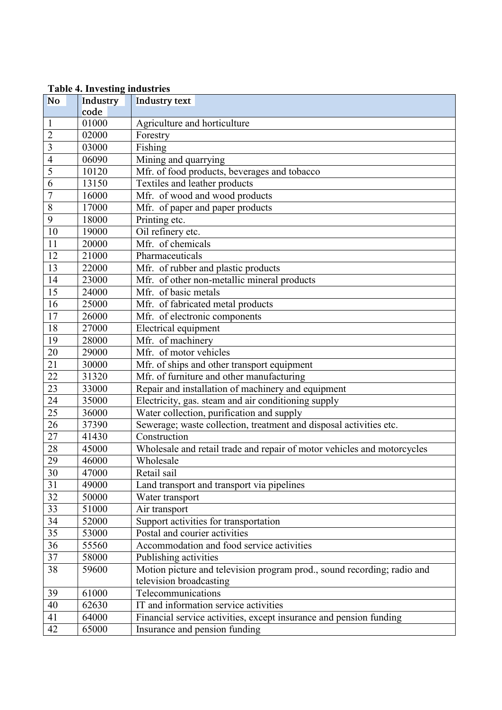|                         | <b>Table 4. Investing industries</b> |                                                                         |
|-------------------------|--------------------------------------|-------------------------------------------------------------------------|
| <b>No</b>               | Industry<br>code                     | Industry text                                                           |
| $\mathbf{1}$            | 01000                                | Agriculture and horticulture                                            |
| $\overline{2}$          | 02000                                | Forestry                                                                |
| $\overline{\mathbf{3}}$ | 03000                                | Fishing                                                                 |
| $\overline{4}$          | 06090                                |                                                                         |
| 5                       |                                      | Mining and quarrying                                                    |
| 6                       | 10120                                | Mfr. of food products, beverages and tobacco                            |
|                         | 13150                                | Textiles and leather products                                           |
| $\overline{7}$          | 16000                                | Mfr. of wood and wood products                                          |
| 8                       | 17000                                | Mfr. of paper and paper products                                        |
| 9                       | 18000                                | Printing etc.                                                           |
| 10                      | 19000                                | Oil refinery etc.                                                       |
| 11                      | 20000                                | Mfr. of chemicals                                                       |
| 12                      | 21000                                | Pharmaceuticals                                                         |
| 13                      | 22000                                | Mfr. of rubber and plastic products                                     |
| 14                      | 23000                                | Mfr. of other non-metallic mineral products                             |
| 15                      | 24000                                | Mfr. of basic metals                                                    |
| 16                      | 25000                                | Mfr. of fabricated metal products                                       |
| 17                      | 26000                                | Mfr. of electronic components                                           |
| 18                      | 27000                                | Electrical equipment                                                    |
| 19                      | 28000                                | Mfr. of machinery                                                       |
| 20                      | 29000                                | Mfr. of motor vehicles                                                  |
| 21                      | 30000                                | Mfr. of ships and other transport equipment                             |
| 22                      | 31320                                | Mfr. of furniture and other manufacturing                               |
| 23                      | 33000                                | Repair and installation of machinery and equipment                      |
| 24                      | 35000                                | Electricity, gas. steam and air conditioning supply                     |
| $\overline{25}$         | 36000                                | Water collection, purification and supply                               |
| 26                      | 37390                                | Sewerage; waste collection, treatment and disposal activities etc.      |
| 27                      | 41430                                | Construction                                                            |
| 28                      | 45000                                | Wholesale and retail trade and repair of motor vehicles and motorcycles |
| 29                      | 46000                                | Wholesale                                                               |
| 30                      | 47000                                | Retail sail                                                             |
| 31                      | 49000                                | Land transport and transport via pipelines                              |
| 32                      | 50000                                | Water transport                                                         |
| 33                      | 51000                                | Air transport                                                           |
| 34                      | 52000                                | Support activities for transportation                                   |
| 35                      | 53000                                | Postal and courier activities                                           |
| 36                      | 55560                                | Accommodation and food service activities                               |
| $\overline{37}$         | 58000                                | Publishing activities                                                   |
| 38                      | 59600                                | Motion picture and television program prod., sound recording; radio and |
|                         |                                      | television broadcasting                                                 |
| 39                      | 61000                                | Telecommunications                                                      |
| 40                      | 62630                                | IT and information service activities                                   |
| 41                      | 64000                                | Financial service activities, except insurance and pension funding      |
| 42                      | 65000                                | Insurance and pension funding                                           |

**Table 4. Investing industries**